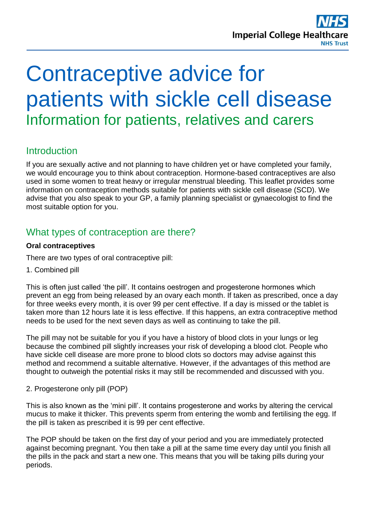

# Contraceptive advice for patients with sickle cell disease Information for patients, relatives and carers

# **Introduction**

If you are sexually active and not planning to have children yet or have completed your family, we would encourage you to think about contraception. Hormone-based contraceptives are also used in some women to treat heavy or irregular menstrual bleeding. This leaflet provides some information on contraception methods suitable for patients with sickle cell disease (SCD). We advise that you also speak to your GP, a family planning specialist or gynaecologist to find the most suitable option for you.

# What types of contraception are there?

## **Oral contraceptives**

There are two types of oral contraceptive pill:

1. Combined pill

This is often just called 'the pill'. It contains oestrogen and progesterone hormones which prevent an egg from being released by an ovary each month. If taken as prescribed, once a day for three weeks every month, it is over 99 per cent effective. If a day is missed or the tablet is taken more than 12 hours late it is less effective. If this happens, an extra contraceptive method needs to be used for the next seven days as well as continuing to take the pill.

The pill may not be suitable for you if you have a history of blood clots in your lungs or leg because the combined pill slightly increases your risk of developing a blood clot. People who have sickle cell disease are more prone to blood clots so doctors may advise against this method and recommend a suitable alternative. However, if the advantages of this method are thought to outweigh the potential risks it may still be recommended and discussed with you.

2. Progesterone only pill (POP)

This is also known as the 'mini pill'. It contains progesterone and works by altering the cervical mucus to make it thicker. This prevents sperm from entering the womb and fertilising the egg. If the pill is taken as prescribed it is 99 per cent effective.

The POP should be taken on the first day of your period and you are immediately protected against becoming pregnant. You then take a pill at the same time every day until you finish all the pills in the pack and start a new one. This means that you will be taking pills during your periods.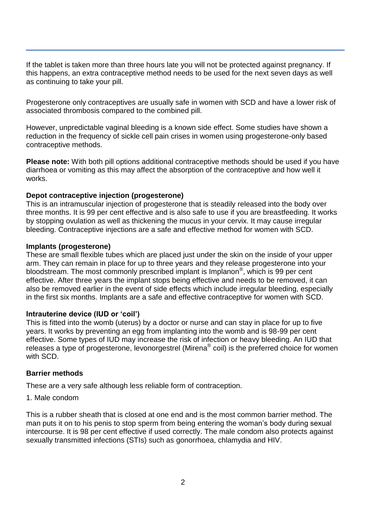If the tablet is taken more than three hours late you will not be protected against pregnancy. If this happens, an extra contraceptive method needs to be used for the next seven days as well as continuing to take your pill.

Progesterone only contraceptives are usually safe in women with SCD and have a lower risk of associated thrombosis compared to the combined pill.

However, unpredictable vaginal bleeding is a known side effect. Some studies have shown a reduction in the frequency of sickle cell pain crises in women using progesterone-only based contraceptive methods.

**Please note:** With both pill options additional contraceptive methods should be used if you have diarrhoea or vomiting as this may affect the absorption of the contraceptive and how well it works.

#### **Depot contraceptive injection (progesterone)**

This is an intramuscular injection of progesterone that is steadily released into the body over three months. It is 99 per cent effective and is also safe to use if you are breastfeeding. It works by stopping ovulation as well as thickening the mucus in your cervix. It may cause irregular bleeding. Contraceptive injections are a safe and effective method for women with SCD.

#### **Implants (progesterone)**

These are small flexible tubes which are placed just under the skin on the inside of your upper arm. They can remain in place for up to three years and they release progesterone into your bloodstream. The most commonly prescribed implant is Implanon<sup>®</sup>, which is 99 per cent effective. After three years the implant stops being effective and needs to be removed, it can also be removed earlier in the event of side effects which include irregular bleeding, especially in the first six months. Implants are a safe and effective contraceptive for women with SCD.

## **Intrauterine device (IUD or 'coil')**

This is fitted into the womb (uterus) by a doctor or nurse and can stay in place for up to five years. It works by preventing an egg from implanting into the womb and is 98-99 per cent effective. Some types of IUD may increase the risk of infection or heavy bleeding. An IUD that releases a type of progesterone, levonorgestrel (Mirena® coil) is the preferred choice for women with SCD.

## **Barrier methods**

These are a very safe although less reliable form of contraception.

1. Male condom

This is a rubber sheath that is closed at one end and is the most common barrier method. The man puts it on to his penis to stop sperm from being entering the woman's body during sexual intercourse. It is 98 per cent effective if used correctly. The male condom also protects against sexually transmitted infections (STIs) such as gonorrhoea, chlamydia and HIV.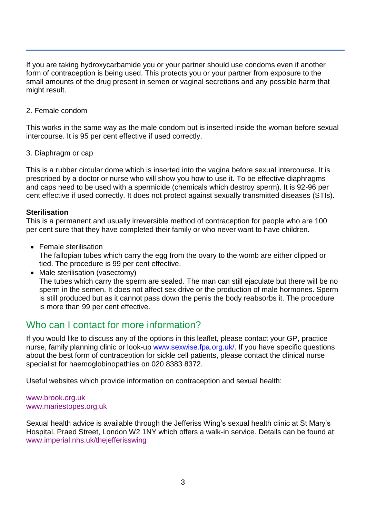If you are taking hydroxycarbamide you or your partner should use condoms even if another form of contraception is being used. This protects you or your partner from exposure to the small amounts of the drug present in semen or vaginal secretions and any possible harm that might result.

2. Female condom

This works in the same way as the male condom but is inserted inside the woman before sexual intercourse. It is 95 per cent effective if used correctly.

3. Diaphragm or cap

This is a rubber circular dome which is inserted into the vagina before sexual intercourse. It is prescribed by a doctor or nurse who will show you how to use it. To be effective diaphragms and caps need to be used with a spermicide (chemicals which destroy sperm). It is 92-96 per cent effective if used correctly. It does not protect against sexually transmitted diseases (STIs).

#### **Sterilisation**

This is a permanent and usually irreversible method of contraception for people who are 100 per cent sure that they have completed their family or who never want to have children.

- Female sterilisation The fallopian tubes which carry the egg from the ovary to the womb are either clipped or tied. The procedure is 99 per cent effective.
- Male sterilisation (vasectomy) The tubes which carry the sperm are sealed. The man can still ejaculate but there will be no sperm in the semen. It does not affect sex drive or the production of male hormones. Sperm is still produced but as it cannot pass down the penis the body reabsorbs it. The procedure is more than 99 per cent effective.

## Who can I contact for more information?

If you would like to discuss any of the options in this leaflet, please contact your GP, practice nurse, family planning clinic or look-up [www.sexwise.fpa.org.uk/.](http://www.sexwise.fpa.org.uk/) If you have specific questions about the best form of contraception for sickle cell patients, please contact the clinical nurse specialist for haemoglobinopathies on 020 8383 8372.

Useful websites which provide information on contraception and sexual health:

#### [www.brook.org.uk](http://www.brook.org.uk/) [www.mariestopes.org.uk](http://www.mariestopes.org.uk/)

Sexual health advice is available through the Jefferiss Wing's sexual health clinic at St Mary's Hospital, Praed Street, London W2 1NY which offers a walk-in service. Details can be found at: [www.imperial.nhs.uk/thejefferisswing](http://www.imperial.nhs.uk/thejefferisswing)